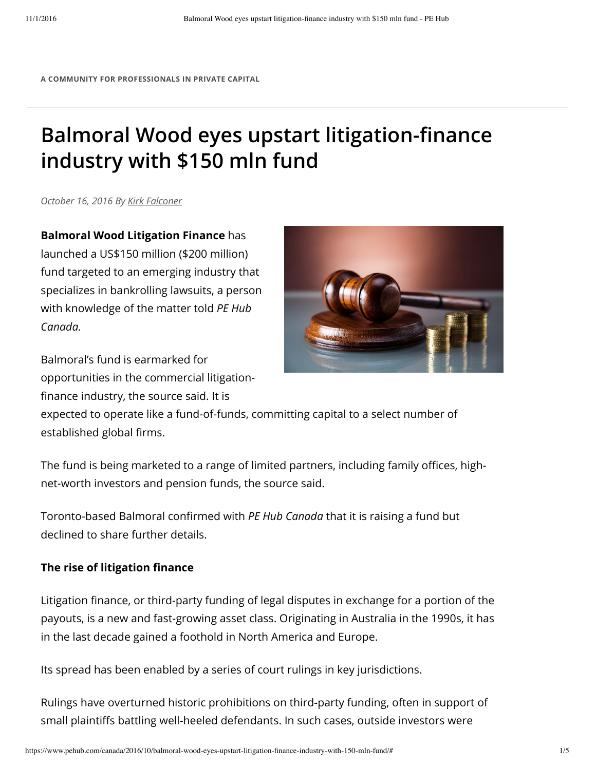**A COMMUNITY FOR PROFESSIONALS IN PRIVATE CAPITAL**

# **Balmoral Wood eyes upstart litigation-finance industry with \$150 mln fund**

*October 16, 2016 By Kirk Falconer*

**Balmoral Wood Litigation Finance** has launched a US\$150 million (\$200 million) fund targeted to an emerging industry that specializes in bankrolling lawsuits, a person with knowledge of the matter told *PE Hub Canada.*





expected to operate like a fund-of-funds, committing capital to a select number of established global firms.

The fund is being marketed to a range of limited partners, including family offices, highnet-worth investors and pension funds, the source said.

Toronto-based Balmoral confirmed with *PE Hub Canada* that it is raising a fund but declined to share further details.

#### **The rise of litigation finance**

Litigation finance, or third-party funding of legal disputes in exchange for a portion of the payouts, is a new and fast-growing asset class. Originating in Australia in the 1990s, it has in the last decade gained a foothold in North America and Europe.

Its spread has been enabled by a series of court rulings in key jurisdictions.

Rulings have overturned historic prohibitions on third-party funding, often in support of small plaintiffs battling well-heeled defendants. In such cases, outside investors were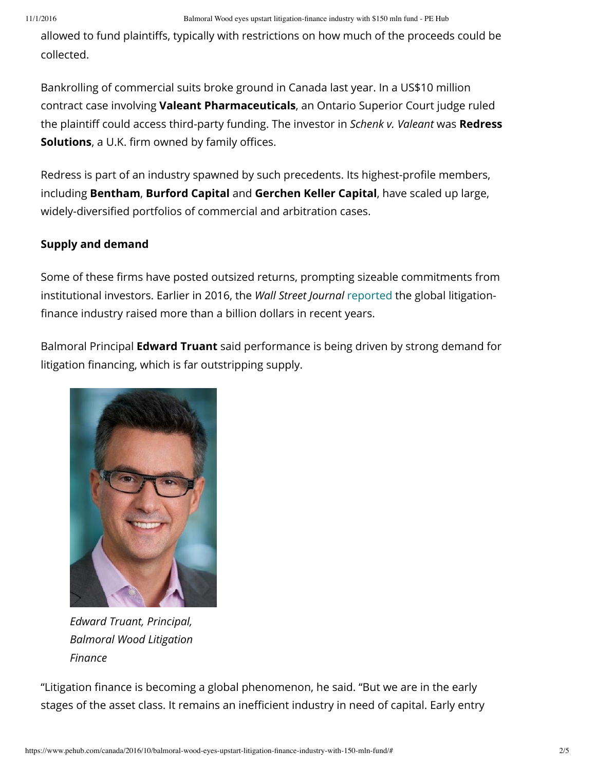allowed to fund plaintiffs, typically with restrictions on how much of the proceeds could be collected.

Bankrolling of commercial suits broke ground in Canada last year. In a US\$10 million contract case involving **Valeant Pharmaceuticals**, an Ontario Superior Court judge ruled the plaintiff could access third-party funding. The investor in *Schenk v. Valeant* was **Redress Solutions**, a U.K. firm owned by family offices.

Redress is part of an industry spawned by such precedents. Its highest-profile members, including **Bentham**, **Burford Capital** and **Gerchen Keller Capital**, have scaled up large, widely-diversified portfolios of commercial and arbitration cases.

### **Supply and demand**

Some of these firms have posted outsized returns, prompting sizeable commitments from institutional investors. Earlier in 2016, the *Wall Street Journal* reported the global litigation finance industry raised more than a billion dollars in recent years.

Balmoral Principal **Edward Truant** said performance is being driven by strong demand for litigation financing, which is far outstripping supply.



*Edward Truant, Principal, Balmoral Wood Litigation Finance*

"Litigation finance is becoming a global phenomenon, he said. "But we are in the early stages of the asset class. It remains an inefficient industry in need of capital. Early entry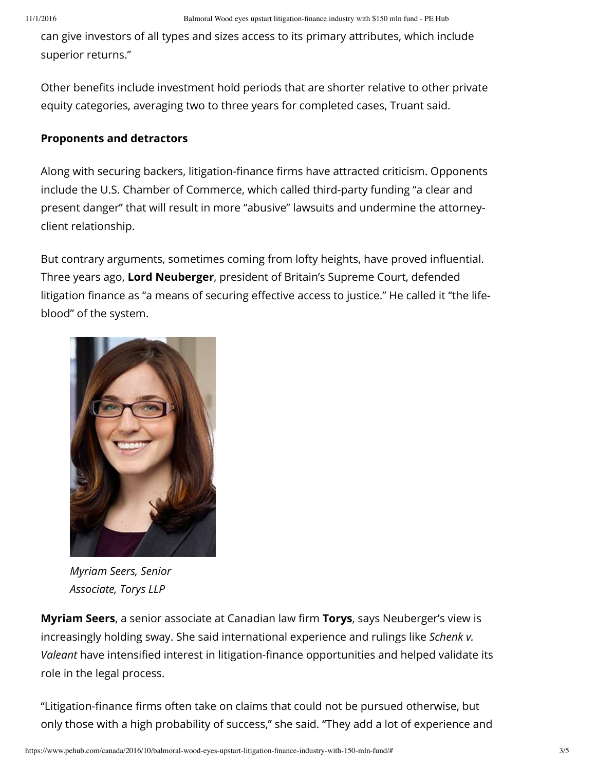can give investors of all types and sizes access to its primary attributes, which include superior returns."

Other benefits include investment hold periods that are shorter relative to other private equity categories, averaging two to three years for completed cases, Truant said.

#### **Proponents and detractors**

Along with securing backers, litigation-finance firms have attracted criticism. Opponents include the U.S. Chamber of Commerce, which called third-party funding "a clear and present danger" that will result in more "abusive" lawsuits and undermine the attorneyclient relationship.

But contrary arguments, sometimes coming from lofty heights, have proved influential. Three years ago, **Lord Neuberger**, president of Britain's Supreme Court, defended litigation finance as "a means of securing effective access to justice." He called it "the lifeblood" of the system.



*Myriam Seers, Senior Associate, Torys LLP*

**Myriam Seers**, a senior associate at Canadian law firm Torys, says Neuberger's view is increasingly holding sway. She said international experience and rulings like *Schenk v. Valeant* have intensified interest in litigation-finance opportunities and helped validate its role in the legal process.

"Litigation-finance firms often take on claims that could not be pursued otherwise, but only those with a high probability of success," she said. "They add a lot of experience and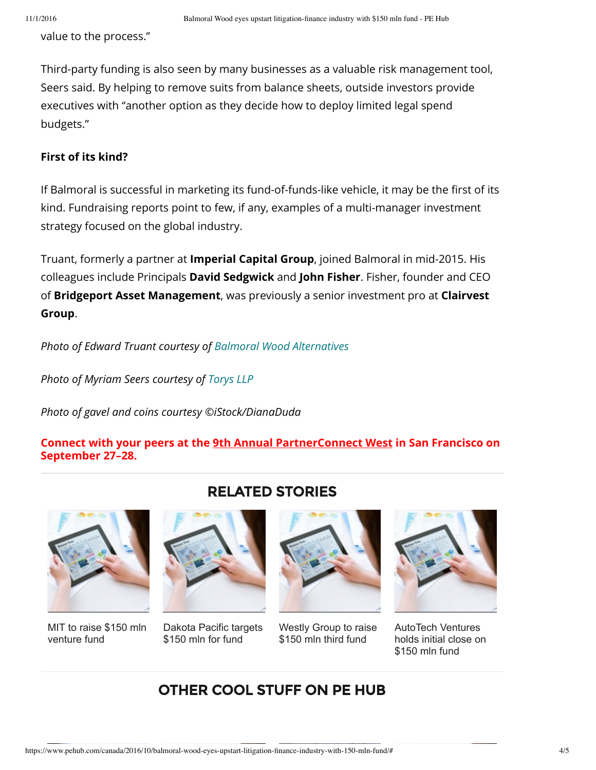value to the process."

Third-party funding is also seen by many businesses as a valuable risk management tool, Seers said. By helping to remove suits from balance sheets, outside investors provide executives with "another option as they decide how to deploy limited legal spend budgets."

#### **First of its kind?**

If Balmoral is successful in marketing its fund-of-funds-like vehicle, it may be the first of its kind. Fundraising reports point to few, if any, examples of a multi-manager investment strategy focused on the global industry.

Truant, formerly a partner at **Imperial Capital Group**, joined Balmoral in mid-2015. His colleagues include Principals **David Sedgwick** and **John Fisher**. Fisher, founder and CEO of **Bridgeport Asset Management**, was previously a senior investment pro at **Clairvest Group**.

*Photo of Edward Truant courtesy of Balmoral Wood Alternatives*

*Photo of Myriam Seers courtesy of Torys LLP*

*Photo of gavel and coins courtesy ©iStock/DianaDuda*

**Connect with your peers at the 9th Annual PartnerConnect West in San Francisco on September 27–28.**



MIT to raise \$150 mln venture fund

## RELATED STORIES



Dakota Pacific targets \$150 mln for fund



Westly Group to raise \$150 mln third fund



AutoTech Ventures holds initial close on \$150 mln fund

## OTHER COOL STUFF ON PE HUB